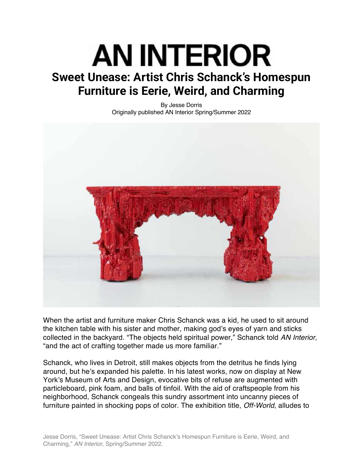## AN INTERIOR **Sweet Unease: Artist Chris Schanck's Homespun Furniture is Eerie, Weird, and Charming**

By Jesse Dorris Originally published AN Interior Spring/Summer 2022



When the artist and furniture maker Chris Schanck was a kid, he used to sit around the kitchen table with his sister and mother, making god's eyes of yarn and sticks collected in the backyard. "The objects held spiritual power," Schanck told *AN Interior*, "and the act of crafting together made us more familiar."

Schanck, who lives in Detroit, still makes objects from the detritus he finds lying around, but he's expanded his palette. In his latest works, now on display at New York's Museum of Arts and Design, evocative bits of refuse are augmented with particleboard, pink foam, and balls of tinfoil. With the aid of craftspeople from his neighborhood, Schanck congeals this sundry assortment into uncanny pieces of furniture painted in shocking pops of color. The exhibition title, *Off-World*, alludes to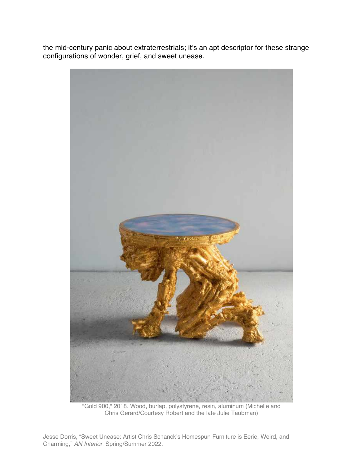the mid-century panic about extraterrestrials; it's an apt descriptor for these strange configurations of wonder, grief, and sweet unease.



"Gold 900," 2018. Wood, burlap, polystyrene, resin, aluminum (Michelle and Chris Gerard/Courtesy Robert and the late Julie Taubman)

Jesse Dorris, "Sweet Unease: Artist Chris Schanck's Homespun Furniture is Eerie, Weird, and Charming," *AN Interior*, Spring/Summer 2022.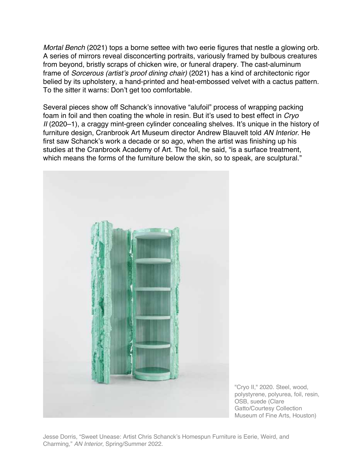*Mortal Bench* (2021) tops a borne settee with two eerie figures that nestle a glowing orb. A series of mirrors reveal disconcerting portraits, variously framed by bulbous creatures from beyond, bristly scraps of chicken wire, or funeral drapery. The cast-aluminum frame of *Sorcerous (artist's proof dining chair)* (2021) has a kind of architectonic rigor belied by its upholstery, a hand-printed and heat-embossed velvet with a cactus pattern. To the sitter it warns: Don't get too comfortable.

Several pieces show off Schanck's innovative "alufoil" process of wrapping packing foam in foil and then coating the whole in resin. But it's used to best effect in *Cryo II* (2020–1), a craggy mint-green cylinder concealing shelves. It's unique in the history of furniture design, Cranbrook Art Museum director Andrew Blauvelt told *AN Interior*. He first saw Schanck's work a decade or so ago, when the artist was finishing up his studies at the Cranbrook Academy of Art. The foil, he said, "is a surface treatment, which means the forms of the furniture below the skin, so to speak, are sculptural."



"Cryo II," 2020. Steel, wood, polystyrene, polyurea, foil, resin, OSB, suede (Clare Gatto/Courtesy Collection Museum of Fine Arts, Houston)

Jesse Dorris, "Sweet Unease: Artist Chris Schanck's Homespun Furniture is Eerie, Weird, and Charming," *AN Interior*, Spring/Summer 2022.